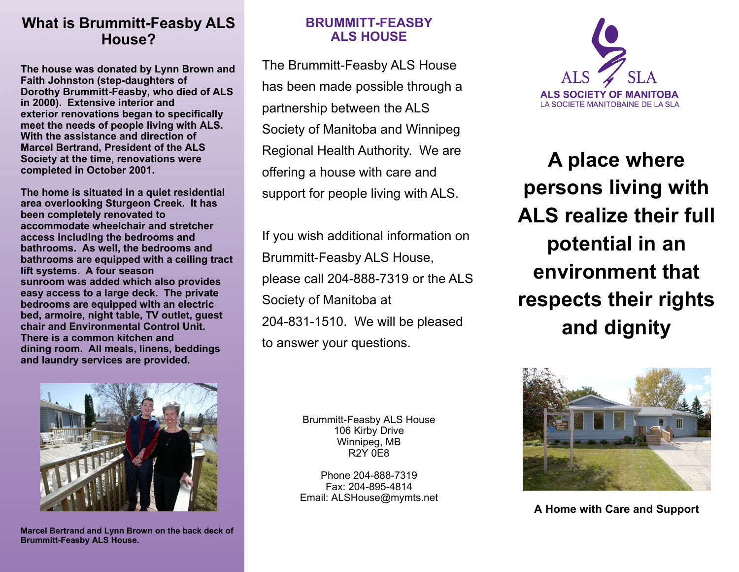# **What is Brummitt-Feasby ALS House?**

**The house was donated by Lynn Brown and Faith Johnston (step-daughters of Dorothy Brummitt-Feasby, who died of ALS in 2000). Extensive interior and exterior renovations began to specifically meet the needs of people living with ALS. With the assistance and direction of Marcel Bertrand, President of the ALS Society at the time, renovations were completed in October 2001.** 

**The home is situated in a quiet residential area overlooking Sturgeon Creek. It has been completely renovated to accommodate wheelchair and stretcher access including the bedrooms and bathrooms. As well, the bedrooms and bathrooms are equipped with a ceiling tract lift systems. A four season sunroom was added which also provides easy access to a large deck. The private bedrooms are equipped with an electric bed, armoire, night table, TV outlet, guest chair and Environmental Control Unit. There is a common kitchen and dining room. All meals, linens, beddings and laundry services are provided.** 



The Brummitt-Feasby ALS House has been made possible through a partnership between the ALS Society of Manitoba and Winnipeg Regional Health Authority. We are offering a house with care and support for people living with ALS.

If you wish additional information on Brummitt-Feasby ALS House, please call 204-888-7319 or the ALS Society of Manitoba at 204-831-1510. We will be pleased to answer your questions.



**A place where persons living with ALS realize their full potential in an environment that respects their rights and dignity** 



**Marcel Bertrand and Lynn Brown on the back deck of Brummitt-Feasby ALS House.** 

Brummitt-Feasby ALS House 106 Kirby Drive Winnipeg, MB R2Y 0E8

Phone 204-888-7319 Fax: 204-895-4814 Email: ALSHouse@mymts.net



**A Home with Care and Support**